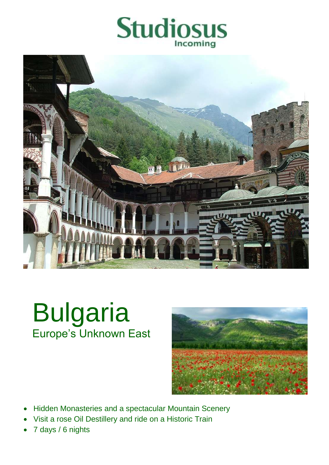



# Bulgaria Europe's Unknown East



- Hidden Monasteries and a spectacular Mountain Scenery
- Visit a rose Oil Destillery and ride on a Historic Train
- 7 days / 6 nights